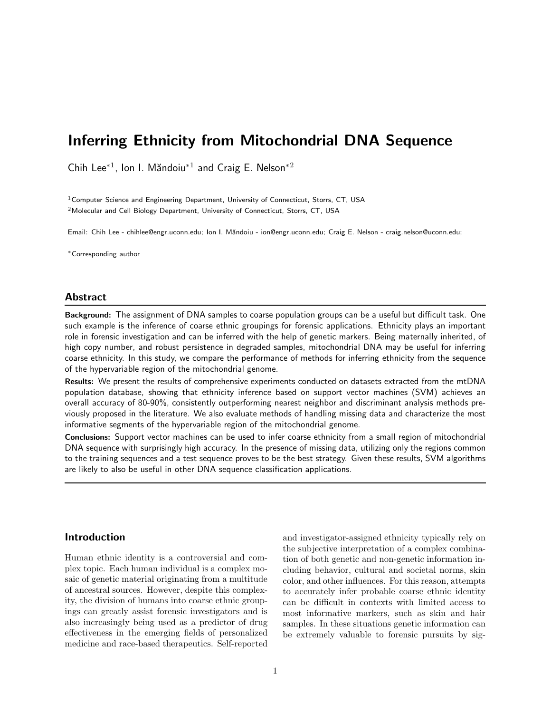# Inferring Ethnicity from Mitochondrial DNA Sequence

 $Chih Lee<sup>*1</sup>, Ion I. Măndoiu<sup>*1</sup> and Craig E. Nelson*2$ 

 $1$ Computer Science and Engineering Department, University of Connecticut, Storrs, CT, USA  $2$ Molecular and Cell Biology Department, University of Connecticut, Storrs, CT, USA

Email: Chih Lee - chihlee@engr.uconn.edu; Ion I. M˘andoiu - ion@engr.uconn.edu; Craig E. Nelson - craig.nelson@uconn.edu;

<sup>∗</sup>Corresponding author

## Abstract

Background: The assignment of DNA samples to coarse population groups can be a useful but difficult task. One such example is the inference of coarse ethnic groupings for forensic applications. Ethnicity plays an important role in forensic investigation and can be inferred with the help of genetic markers. Being maternally inherited, of high copy number, and robust persistence in degraded samples, mitochondrial DNA may be useful for inferring coarse ethnicity. In this study, we compare the performance of methods for inferring ethnicity from the sequence of the hypervariable region of the mitochondrial genome.

Results: We present the results of comprehensive experiments conducted on datasets extracted from the mtDNA population database, showing that ethnicity inference based on support vector machines (SVM) achieves an overall accuracy of 80-90%, consistently outperforming nearest neighbor and discriminant analysis methods previously proposed in the literature. We also evaluate methods of handling missing data and characterize the most informative segments of the hypervariable region of the mitochondrial genome.

Conclusions: Support vector machines can be used to infer coarse ethnicity from a small region of mitochondrial DNA sequence with surprisingly high accuracy. In the presence of missing data, utilizing only the regions common to the training sequences and a test sequence proves to be the best strategy. Given these results, SVM algorithms are likely to also be useful in other DNA sequence classification applications.

# Introduction

Human ethnic identity is a controversial and complex topic. Each human individual is a complex mosaic of genetic material originating from a multitude of ancestral sources. However, despite this complexity, the division of humans into coarse ethnic groupings can greatly assist forensic investigators and is also increasingly being used as a predictor of drug effectiveness in the emerging fields of personalized medicine and race-based therapeutics. Self-reported and investigator-assigned ethnicity typically rely on the subjective interpretation of a complex combination of both genetic and non-genetic information including behavior, cultural and societal norms, skin color, and other influences. For this reason, attempts to accurately infer probable coarse ethnic identity can be difficult in contexts with limited access to most informative markers, such as skin and hair samples. In these situations genetic information can be extremely valuable to forensic pursuits by sig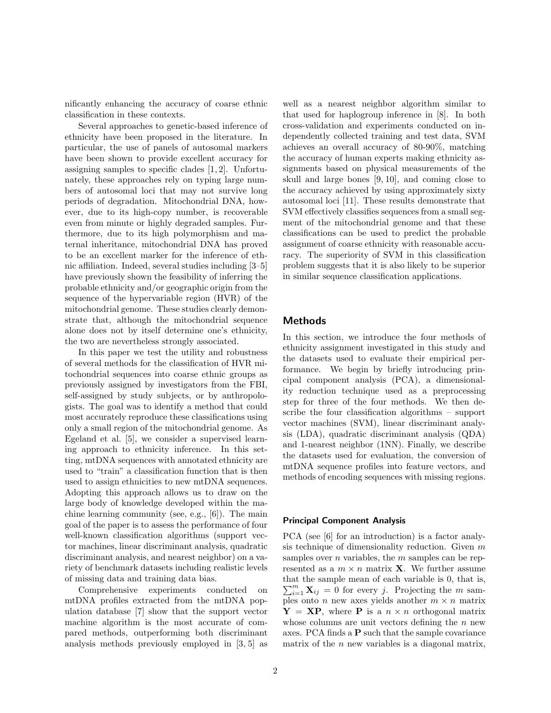nificantly enhancing the accuracy of coarse ethnic classification in these contexts.

Several approaches to genetic-based inference of ethnicity have been proposed in the literature. In particular, the use of panels of autosomal markers have been shown to provide excellent accuracy for assigning samples to specific clades [1, 2]. Unfortunately, these approaches rely on typing large numbers of autosomal loci that may not survive long periods of degradation. Mitochondrial DNA, however, due to its high-copy number, is recoverable even from minute or highly degraded samples. Furthermore, due to its high polymorphism and maternal inheritance, mitochondrial DNA has proved to be an excellent marker for the inference of ethnic affiliation. Indeed, several studies including [3–5] have previously shown the feasibility of inferring the probable ethnicity and/or geographic origin from the sequence of the hypervariable region (HVR) of the mitochondrial genome. These studies clearly demonstrate that, although the mitochondrial sequence alone does not by itself determine one's ethnicity, the two are nevertheless strongly associated.

In this paper we test the utility and robustness of several methods for the classification of HVR mitochondrial sequences into coarse ethnic groups as previously assigned by investigators from the FBI, self-assigned by study subjects, or by anthropologists. The goal was to identify a method that could most accurately reproduce these classifications using only a small region of the mitochondrial genome. As Egeland et al. [5], we consider a supervised learning approach to ethnicity inference. In this setting, mtDNA sequences with annotated ethnicity are used to "train" a classification function that is then used to assign ethnicities to new mtDNA sequences. Adopting this approach allows us to draw on the large body of knowledge developed within the machine learning community (see, e.g., [6]). The main goal of the paper is to assess the performance of four well-known classification algorithms (support vector machines, linear discriminant analysis, quadratic discriminant analysis, and nearest neighbor) on a variety of benchmark datasets including realistic levels of missing data and training data bias.

Comprehensive experiments conducted on mtDNA profiles extracted from the mtDNA population database [7] show that the support vector machine algorithm is the most accurate of compared methods, outperforming both discriminant analysis methods previously employed in [3, 5] as well as a nearest neighbor algorithm similar to that used for haplogroup inference in [8]. In both cross-validation and experiments conducted on independently collected training and test data, SVM achieves an overall accuracy of 80-90%, matching the accuracy of human experts making ethnicity assignments based on physical measurements of the skull and large bones [9, 10], and coming close to the accuracy achieved by using approximately sixty autosomal loci [11]. These results demonstrate that SVM effectively classifies sequences from a small segment of the mitochondrial genome and that these classifications can be used to predict the probable assignment of coarse ethnicity with reasonable accuracy. The superiority of SVM in this classification problem suggests that it is also likely to be superior in similar sequence classification applications.

### Methods

In this section, we introduce the four methods of ethnicity assignment investigated in this study and the datasets used to evaluate their empirical performance. We begin by briefly introducing principal component analysis (PCA), a dimensionality reduction technique used as a preprocessing step for three of the four methods. We then describe the four classification algorithms – support vector machines (SVM), linear discriminant analysis (LDA), quadratic discriminant analysis (QDA) and 1-nearest neighbor (1NN). Finally, we describe the datasets used for evaluation, the conversion of mtDNA sequence profiles into feature vectors, and methods of encoding sequences with missing regions.

#### Principal Component Analysis

PCA (see [6] for an introduction) is a factor analysis technique of dimensionality reduction. Given  $m$ samples over *n* variables, the *m* samples can be represented as a  $m \times n$  matrix **X**. We further assume that the sample mean of each variable is 0, that is,  $\sum_{i=1}^{m} \mathbf{X}_{ij} = 0$  for every j. Projecting the m samples onto n new axes yields another  $m \times n$  matrix  $Y = XP$ , where P is a  $n \times n$  orthogonal matrix whose columns are unit vectors defining the  $n$  new axes. PCA finds a P such that the sample covariance matrix of the  $n$  new variables is a diagonal matrix,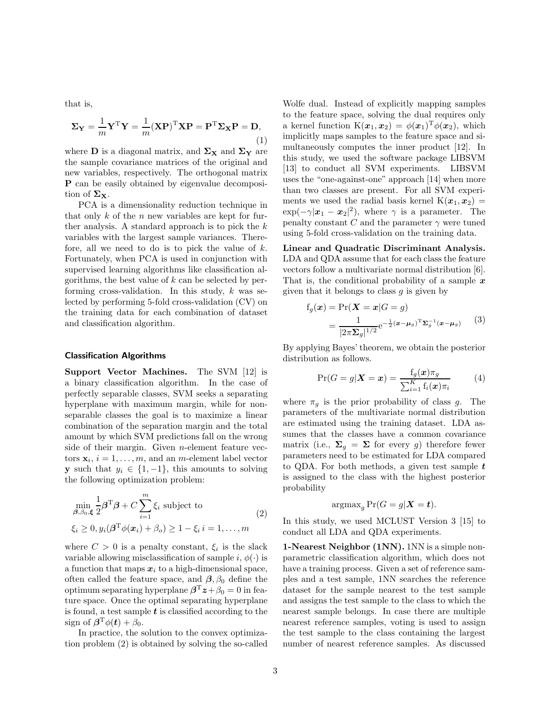that is,

$$
\Sigma_{\mathbf{Y}} = \frac{1}{m} \mathbf{Y}^{\mathrm{T}} \mathbf{Y} = \frac{1}{m} (\mathbf{X} \mathbf{P})^{\mathrm{T}} \mathbf{X} \mathbf{P} = \mathbf{P}^{\mathrm{T}} \Sigma_{\mathbf{X}} \mathbf{P} = \mathbf{D},
$$
\n(1)

where **D** is a diagonal matrix, and  $\Sigma_X$  and  $\Sigma_Y$  are the sample covariance matrices of the original and new variables, respectively. The orthogonal matrix P can be easily obtained by eigenvalue decomposition of  $\Sigma_{\mathbf{X}}$ .

PCA is a dimensionality reduction technique in that only  $k$  of the n new variables are kept for further analysis. A standard approach is to pick the  $k$ variables with the largest sample variances. Therefore, all we need to do is to pick the value of  $k$ . Fortunately, when PCA is used in conjunction with supervised learning algorithms like classification algorithms, the best value of  $k$  can be selected by performing cross-validation. In this study,  $k$  was selected by performing 5-fold cross-validation (CV) on the training data for each combination of dataset and classification algorithm.

#### Classification Algorithms

Support Vector Machines. The SVM [12] is a binary classification algorithm. In the case of perfectly separable classes, SVM seeks a separating hyperplane with maximum margin, while for nonseparable classes the goal is to maximize a linear combination of the separation margin and the total amount by which SVM predictions fall on the wrong side of their margin. Given  $n$ -element feature vectors  $\mathbf{x}_i$ ,  $i = 1, \ldots, m$ , and an *m*-element label vector y such that  $y_i \in \{1, -1\}$ , this amounts to solving the following optimization problem:

$$
\min_{\beta,\beta_0,\xi} \frac{1}{2} \beta^{\mathrm{T}} \beta + C \sum_{i=1}^{m} \xi_i \text{ subject to}
$$
\n
$$
\xi_i \ge 0, y_i(\beta^{\mathrm{T}} \phi(\boldsymbol{x}_i) + \beta_o) \ge 1 - \xi_i \, i = 1, \dots, m
$$
\n(2)

where  $C > 0$  is a penalty constant,  $\xi_i$  is the slack variable allowing misclassification of sample i,  $\phi(\cdot)$  is a function that maps  $x_i$  to a high-dimensional space, often called the feature space, and  $\beta$ ,  $\beta_0$  define the optimum separating hyperplane  $\beta^T z + \beta_0 = 0$  in feature space. Once the optimal separating hyperplane is found, a test sample  $t$  is classified according to the sign of  $\beta^{\mathrm{T}}\phi(t) + \beta_0$ .

In practice, the solution to the convex optimization problem (2) is obtained by solving the so-called Wolfe dual. Instead of explicitly mapping samples to the feature space, solving the dual requires only a kernel function  $K(\boldsymbol{x}_1, \boldsymbol{x}_2) = \phi(\boldsymbol{x}_1)^T \phi(\boldsymbol{x}_2)$ , which implicitly maps samples to the feature space and simultaneously computes the inner product [12]. In this study, we used the software package LIBSVM [13] to conduct all SVM experiments. LIBSVM uses the "one-against-one" approach [14] when more than two classes are present. For all SVM experiments we used the radial basis kernel  $K(x_1, x_2) =$  $\exp(-\gamma|\boldsymbol{x}_1-\boldsymbol{x}_2|^2)$ , where  $\gamma$  is a parameter. The penalty constant C and the parameter  $\gamma$  were tuned using 5-fold cross-validation on the training data.

Linear and Quadratic Discriminant Analysis. LDA and QDA assume that for each class the feature vectors follow a multivariate normal distribution [6]. That is, the conditional probability of a sample  $x$ given that it belongs to class  $g$  is given by

$$
f_g(\boldsymbol{x}) = Pr(\boldsymbol{X} = \boldsymbol{x}|G = g)
$$
  
= 
$$
\frac{1}{|2\pi \Sigma_g|^{1/2}} e^{-\frac{1}{2}(\boldsymbol{x} - \boldsymbol{\mu}_g)^\mathrm{T} \Sigma_g^{-1}(\boldsymbol{x} - \boldsymbol{\mu}_g)}
$$
(3)

By applying Bayes' theorem, we obtain the posterior distribution as follows.

$$
\Pr(G = g | \mathbf{X} = \mathbf{x}) = \frac{\mathbf{f}_g(\mathbf{x}) \pi_g}{\sum_{i=1}^K \mathbf{f}_i(\mathbf{x}) \pi_i} \tag{4}
$$

where  $\pi_q$  is the prior probability of class g. The parameters of the multivariate normal distribution are estimated using the training dataset. LDA assumes that the classes have a common covariance matrix (i.e.,  $\Sigma_g = \Sigma$  for every g) therefore fewer parameters need to be estimated for LDA compared to QDA. For both methods, a given test sample  $t$ is assigned to the class with the highest posterior probability

$$
\operatorname{argmax}_g \Pr(G = g | \mathbf{X} = \mathbf{t}).
$$

In this study, we used MCLUST Version 3 [15] to conduct all LDA and QDA experiments.

1-Nearest Neighbor (1NN). 1NN is a simple nonparametric classification algorithm, which does not have a training process. Given a set of reference samples and a test sample, 1NN searches the reference dataset for the sample nearest to the test sample and assigns the test sample to the class to which the nearest sample belongs. In case there are multiple nearest reference samples, voting is used to assign the test sample to the class containing the largest number of nearest reference samples. As discussed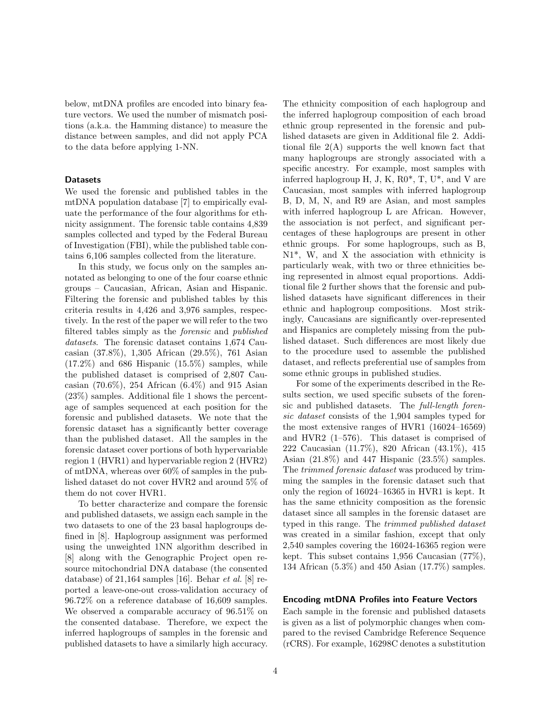below, mtDNA profiles are encoded into binary feature vectors. We used the number of mismatch positions (a.k.a. the Hamming distance) to measure the distance between samples, and did not apply PCA to the data before applying 1-NN.

#### **Datasets**

We used the forensic and published tables in the mtDNA population database [7] to empirically evaluate the performance of the four algorithms for ethnicity assignment. The forensic table contains 4,839 samples collected and typed by the Federal Bureau of Investigation (FBI), while the published table contains 6,106 samples collected from the literature.

In this study, we focus only on the samples annotated as belonging to one of the four coarse ethnic groups – Caucasian, African, Asian and Hispanic. Filtering the forensic and published tables by this criteria results in 4,426 and 3,976 samples, respectively. In the rest of the paper we will refer to the two filtered tables simply as the forensic and published datasets. The forensic dataset contains 1,674 Caucasian (37.8%), 1,305 African (29.5%), 761 Asian  $(17.2\%)$  and 686 Hispanic  $(15.5\%)$  samples, while the published dataset is comprised of 2,807 Caucasian (70.6%), 254 African (6.4%) and 915 Asian (23%) samples. Additional file 1 shows the percentage of samples sequenced at each position for the forensic and published datasets. We note that the forensic dataset has a significantly better coverage than the published dataset. All the samples in the forensic dataset cover portions of both hypervariable region 1 (HVR1) and hypervariable region 2 (HVR2) of mtDNA, whereas over 60% of samples in the published dataset do not cover HVR2 and around 5% of them do not cover HVR1.

To better characterize and compare the forensic and published datasets, we assign each sample in the two datasets to one of the 23 basal haplogroups defined in [8]. Haplogroup assignment was performed using the unweighted 1NN algorithm described in [8] along with the Genographic Project open resource mitochondrial DNA database (the consented database) of 21,164 samples [16]. Behar *et al.* [8] reported a leave-one-out cross-validation accuracy of 96.72% on a reference database of 16,609 samples. We observed a comparable accuracy of 96.51% on the consented database. Therefore, we expect the inferred haplogroups of samples in the forensic and published datasets to have a similarly high accuracy. The ethnicity composition of each haplogroup and the inferred haplogroup composition of each broad ethnic group represented in the forensic and published datasets are given in Additional file 2. Additional file  $2(A)$  supports the well known fact that many haplogroups are strongly associated with a specific ancestry. For example, most samples with inferred haplogroup H, J, K,  $R0^*$ , T,  $U^*$ , and V are Caucasian, most samples with inferred haplogroup B, D, M, N, and R9 are Asian, and most samples with inferred haplogroup L are African. However, the association is not perfect, and significant percentages of these haplogroups are present in other ethnic groups. For some haplogroups, such as B, N1\*, W, and X the association with ethnicity is particularly weak, with two or three ethnicities being represented in almost equal proportions. Additional file 2 further shows that the forensic and published datasets have significant differences in their ethnic and haplogroup compositions. Most strikingly, Caucasians are significantly over-represented and Hispanics are completely missing from the published dataset. Such differences are most likely due to the procedure used to assemble the published dataset, and reflects preferential use of samples from some ethnic groups in published studies.

For some of the experiments described in the Results section, we used specific subsets of the forensic and published datasets. The *full-length foren*sic dataset consists of the 1,904 samples typed for the most extensive ranges of HVR1 (16024–16569) and HVR2 (1–576). This dataset is comprised of 222 Caucasian (11.7%), 820 African (43.1%), 415 Asian (21.8%) and 447 Hispanic (23.5%) samples. The *trimmed forensic dataset* was produced by trimming the samples in the forensic dataset such that only the region of 16024–16365 in HVR1 is kept. It has the same ethnicity composition as the forensic dataset since all samples in the forensic dataset are typed in this range. The trimmed published dataset was created in a similar fashion, except that only 2,540 samples covering the 16024-16365 region were kept. This subset contains 1,956 Caucasian (77%), 134 African (5.3%) and 450 Asian (17.7%) samples.

## Encoding mtDNA Profiles into Feature Vectors

Each sample in the forensic and published datasets is given as a list of polymorphic changes when compared to the revised Cambridge Reference Sequence (rCRS). For example, 16298C denotes a substitution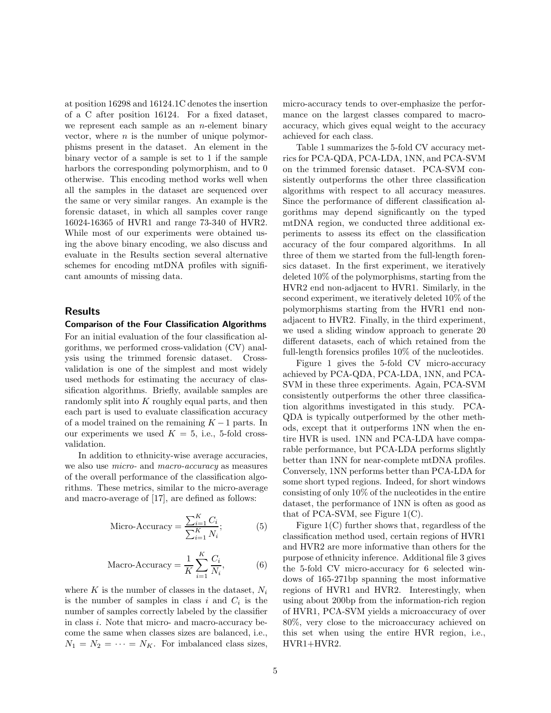at position 16298 and 16124.1C denotes the insertion of a C after position 16124. For a fixed dataset, we represent each sample as an *n*-element binary vector, where  $n$  is the number of unique polymorphisms present in the dataset. An element in the binary vector of a sample is set to 1 if the sample harbors the corresponding polymorphism, and to 0 otherwise. This encoding method works well when all the samples in the dataset are sequenced over the same or very similar ranges. An example is the forensic dataset, in which all samples cover range 16024-16365 of HVR1 and range 73-340 of HVR2. While most of our experiments were obtained using the above binary encoding, we also discuss and evaluate in the Results section several alternative schemes for encoding mtDNA profiles with significant amounts of missing data.

## Results

#### Comparison of the Four Classification Algorithms

For an initial evaluation of the four classification algorithms, we performed cross-validation (CV) analysis using the trimmed forensic dataset. Crossvalidation is one of the simplest and most widely used methods for estimating the accuracy of classification algorithms. Briefly, available samples are randomly split into  $K$  roughly equal parts, and then each part is used to evaluate classification accuracy of a model trained on the remaining  $K-1$  parts. In our experiments we used  $K = 5$ , i.e., 5-fold crossvalidation.

In addition to ethnicity-wise average accuracies, we also use *micro*- and *macro-accuracy* as measures of the overall performance of the classification algorithms. These metrics, similar to the micro-average and macro-average of [17], are defined as follows:

$$
\text{Micro-Accuracy} = \frac{\sum_{i=1}^{K} C_i}{\sum_{i=1}^{K} N_i};\tag{5}
$$

$$
\text{Macro-Accuracy} = \frac{1}{K} \sum_{i=1}^{K} \frac{C_i}{N_i},\tag{6}
$$

where K is the number of classes in the dataset,  $N_i$ is the number of samples in class i and  $C_i$  is the number of samples correctly labeled by the classifier in class i. Note that micro- and macro-accuracy become the same when classes sizes are balanced, i.e.,  $N_1 = N_2 = \cdots = N_K$ . For imbalanced class sizes, micro-accuracy tends to over-emphasize the performance on the largest classes compared to macroaccuracy, which gives equal weight to the accuracy achieved for each class.

Table 1 summarizes the 5-fold CV accuracy metrics for PCA-QDA, PCA-LDA, 1NN, and PCA-SVM on the trimmed forensic dataset. PCA-SVM consistently outperforms the other three classification algorithms with respect to all accuracy measures. Since the performance of different classification algorithms may depend significantly on the typed mtDNA region, we conducted three additional experiments to assess its effect on the classification accuracy of the four compared algorithms. In all three of them we started from the full-length forensics dataset. In the first experiment, we iteratively deleted 10% of the polymorphisms, starting from the HVR2 end non-adjacent to HVR1. Similarly, in the second experiment, we iteratively deleted 10% of the polymorphisms starting from the HVR1 end nonadjacent to HVR2. Finally, in the third experiment, we used a sliding window approach to generate 20 different datasets, each of which retained from the full-length forensics profiles 10% of the nucleotides.

Figure 1 gives the 5-fold CV micro-accuracy achieved by PCA-QDA, PCA-LDA, 1NN, and PCA-SVM in these three experiments. Again, PCA-SVM consistently outperforms the other three classification algorithms investigated in this study. PCA-QDA is typically outperformed by the other methods, except that it outperforms 1NN when the entire HVR is used. 1NN and PCA-LDA have comparable performance, but PCA-LDA performs slightly better than 1NN for near-complete mtDNA profiles. Conversely, 1NN performs better than PCA-LDA for some short typed regions. Indeed, for short windows consisting of only 10% of the nucleotides in the entire dataset, the performance of 1NN is often as good as that of PCA-SVM, see Figure  $1(C)$ .

Figure 1(C) further shows that, regardless of the classification method used, certain regions of HVR1 and HVR2 are more informative than others for the purpose of ethnicity inference. Additional file 3 gives the 5-fold CV micro-accuracy for 6 selected windows of 165-271bp spanning the most informative regions of HVR1 and HVR2. Interestingly, when using about 200bp from the information-rich region of HVR1, PCA-SVM yields a microaccuracy of over 80%, very close to the microaccuracy achieved on this set when using the entire HVR region, i.e., HVR1+HVR2.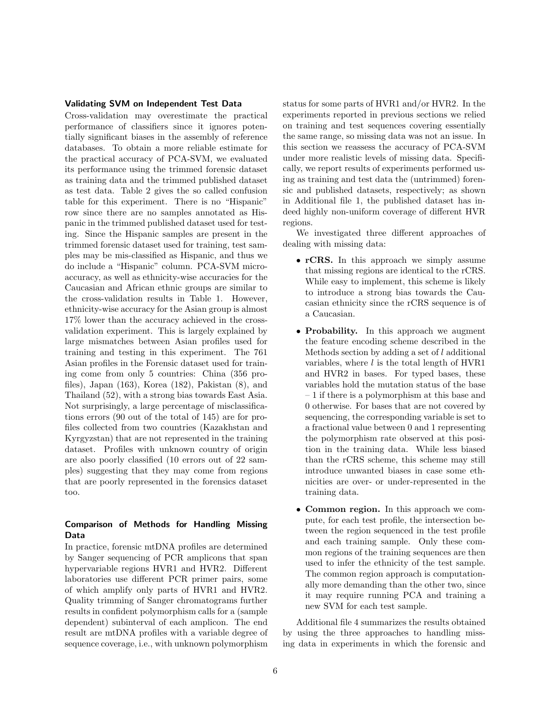#### Validating SVM on Independent Test Data

Cross-validation may overestimate the practical performance of classifiers since it ignores potentially significant biases in the assembly of reference databases. To obtain a more reliable estimate for the practical accuracy of PCA-SVM, we evaluated its performance using the trimmed forensic dataset as training data and the trimmed published dataset as test data. Table 2 gives the so called confusion table for this experiment. There is no "Hispanic" row since there are no samples annotated as Hispanic in the trimmed published dataset used for testing. Since the Hispanic samples are present in the trimmed forensic dataset used for training, test samples may be mis-classified as Hispanic, and thus we do include a "Hispanic" column. PCA-SVM microaccuracy, as well as ethnicity-wise accuracies for the Caucasian and African ethnic groups are similar to the cross-validation results in Table 1. However, ethnicity-wise accuracy for the Asian group is almost 17% lower than the accuracy achieved in the crossvalidation experiment. This is largely explained by large mismatches between Asian profiles used for training and testing in this experiment. The 761 Asian profiles in the Forensic dataset used for training come from only 5 countries: China (356 profiles), Japan (163), Korea (182), Pakistan (8), and Thailand (52), with a strong bias towards East Asia. Not surprisingly, a large percentage of misclassifications errors (90 out of the total of 145) are for profiles collected from two countries (Kazakhstan and Kyrgyzstan) that are not represented in the training dataset. Profiles with unknown country of origin are also poorly classified (10 errors out of 22 samples) suggesting that they may come from regions that are poorly represented in the forensics dataset too.

## Comparison of Methods for Handling Missing Data

In practice, forensic mtDNA profiles are determined by Sanger sequencing of PCR amplicons that span hypervariable regions HVR1 and HVR2. Different laboratories use different PCR primer pairs, some of which amplify only parts of HVR1 and HVR2. Quality trimming of Sanger chromatograms further results in confident polymorphism calls for a (sample dependent) subinterval of each amplicon. The end result are mtDNA profiles with a variable degree of sequence coverage, i.e., with unknown polymorphism status for some parts of HVR1 and/or HVR2. In the experiments reported in previous sections we relied on training and test sequences covering essentially the same range, so missing data was not an issue. In this section we reassess the accuracy of PCA-SVM under more realistic levels of missing data. Specifically, we report results of experiments performed using as training and test data the (untrimmed) forensic and published datasets, respectively; as shown in Additional file 1, the published dataset has indeed highly non-uniform coverage of different HVR regions.

We investigated three different approaches of dealing with missing data:

- rCRS. In this approach we simply assume that missing regions are identical to the rCRS. While easy to implement, this scheme is likely to introduce a strong bias towards the Caucasian ethnicity since the rCRS sequence is of a Caucasian.
- Probability. In this approach we augment the feature encoding scheme described in the Methods section by adding a set of  $l$  additional variables, where  $l$  is the total length of HVR1 and HVR2 in bases. For typed bases, these variables hold the mutation status of the base – 1 if there is a polymorphism at this base and 0 otherwise. For bases that are not covered by sequencing, the corresponding variable is set to a fractional value between 0 and 1 representing the polymorphism rate observed at this position in the training data. While less biased than the rCRS scheme, this scheme may still introduce unwanted biases in case some ethnicities are over- or under-represented in the training data.
- Common region. In this approach we compute, for each test profile, the intersection between the region sequenced in the test profile and each training sample. Only these common regions of the training sequences are then used to infer the ethnicity of the test sample. The common region approach is computationally more demanding than the other two, since it may require running PCA and training a new SVM for each test sample.

Additional file 4 summarizes the results obtained by using the three approaches to handling missing data in experiments in which the forensic and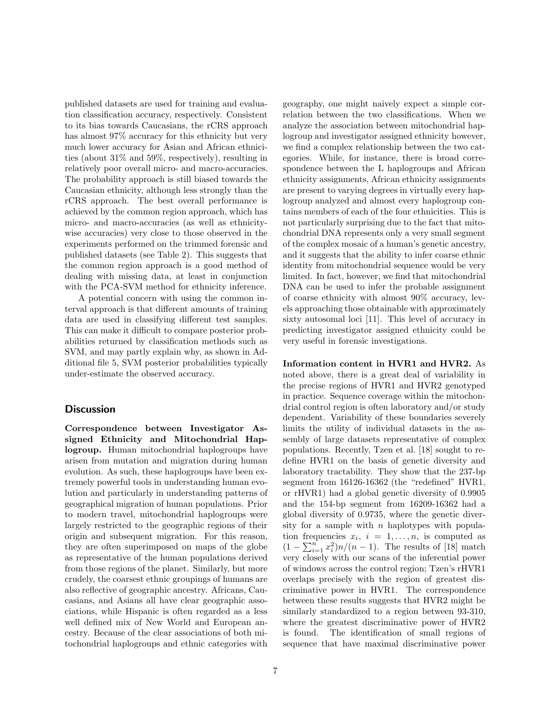published datasets are used for training and evaluation classification accuracy, respectively. Consistent to its bias towards Caucasians, the rCRS approach has almost 97% accuracy for this ethnicity but very much lower accuracy for Asian and African ethnicities (about 31% and 59%, respectively), resulting in relatively poor overall micro- and macro-accuracies. The probability approach is still biased towards the Caucasian ethnicity, although less strongly than the rCRS approach. The best overall performance is achieved by the common region approach, which has micro- and macro-accuracies (as well as ethnicitywise accuracies) very close to those observed in the experiments performed on the trimmed forensic and published datasets (see Table 2). This suggests that the common region approach is a good method of dealing with missing data, at least in conjunction with the PCA-SVM method for ethnicity inference.

A potential concern with using the common interval approach is that different amounts of training data are used in classifying different test samples. This can make it difficult to compare posterior probabilities returned by classification methods such as SVM, and may partly explain why, as shown in Additional file 5, SVM posterior probabilities typically under-estimate the observed accuracy.

## **Discussion**

Correspondence between Investigator Assigned Ethnicity and Mitochondrial Haplogroup. Human mitochondrial haplogroups have arisen from mutation and migration during human evolution. As such, these haplogroups have been extremely powerful tools in understanding human evolution and particularly in understanding patterns of geographical migration of human populations. Prior to modern travel, mitochondrial haplogroups were largely restricted to the geographic regions of their origin and subsequent migration. For this reason, they are often superimposed on maps of the globe as representative of the human populations derived from those regions of the planet. Similarly, but more crudely, the coarsest ethnic groupings of humans are also reflective of geographic ancestry. Africans, Caucasians, and Asians all have clear geographic associations, while Hispanic is often regarded as a less well defined mix of New World and European ancestry. Because of the clear associations of both mitochondrial haplogroups and ethnic categories with geography, one might naively expect a simple correlation between the two classifications. When we analyze the association between mitochondrial haplogroup and investigator assigned ethnicity however, we find a complex relationship between the two categories. While, for instance, there is broad correspondence between the L haplogroups and African ethnicity assignments, African ethnicity assignments are present to varying degrees in virtually every haplogroup analyzed and almost every haplogroup contains members of each of the four ethnicities. This is not particularly surprising due to the fact that mitochondrial DNA represents only a very small segment of the complex mosaic of a human's genetic ancestry, and it suggests that the ability to infer coarse ethnic identity from mitochondrial sequence would be very limited. In fact, however, we find that mitochondrial DNA can be used to infer the probable assignment of coarse ethnicity with almost 90% accuracy, levels approaching those obtainable with approximately sixty autosomal loci [11]. This level of accuracy in predicting investigator assigned ethnicity could be very useful in forensic investigations.

Information content in HVR1 and HVR2. As noted above, there is a great deal of variability in the precise regions of HVR1 and HVR2 genotyped in practice. Sequence coverage within the mitochondrial control region is often laboratory and/or study dependent. Variability of these boundaries severely limits the utility of individual datasets in the assembly of large datasets representative of complex populations. Recently, Tzen et al. [18] sought to redefine HVR1 on the basis of genetic diversity and laboratory tractability. They show that the 237-bp segment from 16126-16362 (the "redefined" HVR1, or rHVR1) had a global genetic diversity of 0.9905 and the 154-bp segment from 16209-16362 had a global diversity of 0.9735, where the genetic diversity for a sample with  $n$  haplotypes with population frequencies  $x_i$ ,  $i = 1, \ldots, n$ , is computed as  $(1 - \sum_{i=1}^{n} x_i^2)n/(n-1)$ . The results of [18] match very closely with our scans of the inferential power of windows across the control region; Tzen's rHVR1 overlaps precisely with the region of greatest discriminative power in HVR1. The correspondence between these results suggests that HVR2 might be similarly standardized to a region between 93-310, where the greatest discriminative power of HVR2 is found. The identification of small regions of sequence that have maximal discriminative power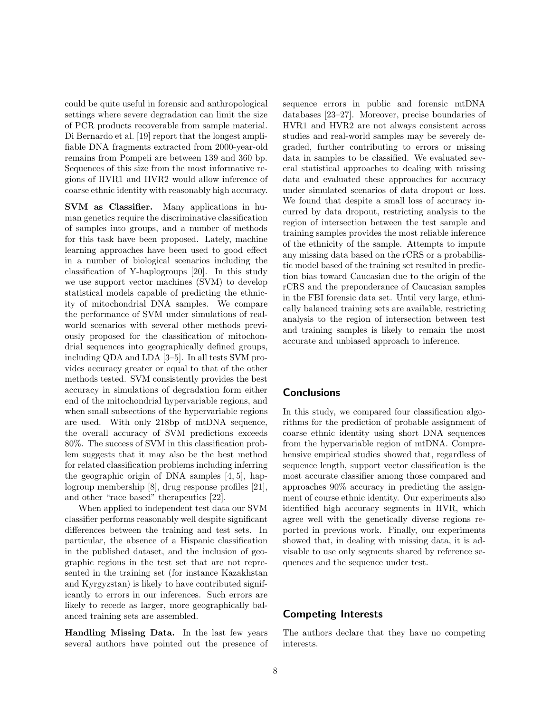could be quite useful in forensic and anthropological settings where severe degradation can limit the size of PCR products recoverable from sample material. Di Bernardo et al. [19] report that the longest amplifiable DNA fragments extracted from 2000-year-old remains from Pompeii are between 139 and 360 bp. Sequences of this size from the most informative regions of HVR1 and HVR2 would allow inference of coarse ethnic identity with reasonably high accuracy.

SVM as Classifier. Many applications in human genetics require the discriminative classification of samples into groups, and a number of methods for this task have been proposed. Lately, machine learning approaches have been used to good effect in a number of biological scenarios including the classification of Y-haplogroups [20]. In this study we use support vector machines (SVM) to develop statistical models capable of predicting the ethnicity of mitochondrial DNA samples. We compare the performance of SVM under simulations of realworld scenarios with several other methods previously proposed for the classification of mitochondrial sequences into geographically defined groups, including QDA and LDA [3–5]. In all tests SVM provides accuracy greater or equal to that of the other methods tested. SVM consistently provides the best accuracy in simulations of degradation form either end of the mitochondrial hypervariable regions, and when small subsections of the hypervariable regions are used. With only 218bp of mtDNA sequence, the overall accuracy of SVM predictions exceeds 80%. The success of SVM in this classification problem suggests that it may also be the best method for related classification problems including inferring the geographic origin of DNA samples [4, 5], haplogroup membership [8], drug response profiles [21], and other "race based" therapeutics [22].

When applied to independent test data our SVM classifier performs reasonably well despite significant differences between the training and test sets. In particular, the absence of a Hispanic classification in the published dataset, and the inclusion of geographic regions in the test set that are not represented in the training set (for instance Kazakhstan and Kyrgyzstan) is likely to have contributed significantly to errors in our inferences. Such errors are likely to recede as larger, more geographically balanced training sets are assembled.

Handling Missing Data. In the last few years several authors have pointed out the presence of sequence errors in public and forensic mtDNA databases [23–27]. Moreover, precise boundaries of HVR1 and HVR2 are not always consistent across studies and real-world samples may be severely degraded, further contributing to errors or missing data in samples to be classified. We evaluated several statistical approaches to dealing with missing data and evaluated these approaches for accuracy under simulated scenarios of data dropout or loss. We found that despite a small loss of accuracy incurred by data dropout, restricting analysis to the region of intersection between the test sample and training samples provides the most reliable inference of the ethnicity of the sample. Attempts to impute any missing data based on the rCRS or a probabilistic model based of the training set resulted in prediction bias toward Caucasian due to the origin of the rCRS and the preponderance of Caucasian samples in the FBI forensic data set. Until very large, ethnically balanced training sets are available, restricting analysis to the region of intersection between test and training samples is likely to remain the most accurate and unbiased approach to inference.

# **Conclusions**

In this study, we compared four classification algorithms for the prediction of probable assignment of coarse ethnic identity using short DNA sequences from the hypervariable region of mtDNA. Comprehensive empirical studies showed that, regardless of sequence length, support vector classification is the most accurate classifier among those compared and approaches 90% accuracy in predicting the assignment of course ethnic identity. Our experiments also identified high accuracy segments in HVR, which agree well with the genetically diverse regions reported in previous work. Finally, our experiments showed that, in dealing with missing data, it is advisable to use only segments shared by reference sequences and the sequence under test.

# Competing Interests

The authors declare that they have no competing interests.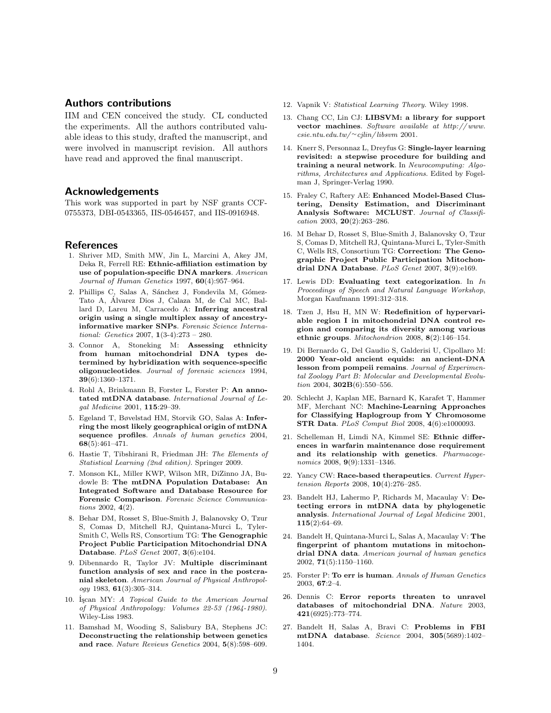# Authors contributions

IIM and CEN conceived the study. CL conducted the experiments. All the authors contributed valuable ideas to this study, drafted the manuscript, and were involved in manuscript revision. All authors have read and approved the final manuscript.

#### Acknowledgements

This work was supported in part by NSF grants CCF-0755373, DBI-0543365, IIS-0546457, and IIS-0916948.

#### References

- 1. Shriver MD, Smith MW, Jin L, Marcini A, Akey JM, Deka R, Ferrell RE: Ethnic-affiliation estimation by use of population-specific DNA markers. *American Journal of Human Genetics* 1997, 60(4):957–964.
- 2. Phillips C, Salas A, Sánchez J, Fondevila M, Gómez-Tato A, Alvarez Dios J, Calaza M, de Cal MC, Bal- ´ lard D, Lareu M, Carracedo A: Inferring ancestral origin using a single multiplex assay of ancestryinformative marker SNPs. *Forensic Science International: Genetics* 2007, 1(3-4):273 – 280.
- 3. Connor A, Stoneking M: Assessing ethnicity from human mitochondrial DNA types determined by hybridization with sequence-specific oligonucleotides. *Journal of forensic sciences* 1994, 39(6):1360–1371.
- 4. Rohl A, Brinkmann B, Forster L, Forster P: An annotated mtDNA database. *International Journal of Legal Medicine* 2001, 115:29–39.
- 5. Egeland T, Bøvelstad HM, Storvik GO, Salas A: Inferring the most likely geographical origin of mtDNA sequence profiles. *Annals of human genetics* 2004, 68(5):461–471.
- 6. Hastie T, Tibshirani R, Friedman JH: *The Elements of Statistical Learning (2nd edition)*. Springer 2009.
- 7. Monson KL, Miller KWP, Wilson MR, DiZinno JA, Budowle B: The mtDNA Population Database: An Integrated Software and Database Resource for Forensic Comparison. *Forensic Science Communications* 2002, 4(2).
- 8. Behar DM, Rosset S, Blue-Smith J, Balanovsky O, Tzur S, Comas D, Mitchell RJ, Quintana-Murci L, Tyler-Smith C, Wells RS, Consortium TG: The Genographic Project Public Participation Mitochondrial DNA Database. *PLoS Genet* 2007, 3(6):e104.
- 9. Dibennardo R, Taylor JV: Multiple discriminant function analysis of sex and race in the postcranial skeleton. *American Journal of Physical Anthropology* 1983, 61(3):305–314.
- 10. ˙I¸scan MY: *A Topical Guide to the American Journal of Physical Anthropology: Volumes 22-53 (1964-1980)*. Wiley-Liss 1983.
- 11. Bamshad M, Wooding S, Salisbury BA, Stephens JC: Deconstructing the relationship between genetics and race. *Nature Reviews Genetics* 2004, 5(8):598–609.
- 12. Vapnik V: *Statistical Learning Theory*. Wiley 1998.
- 13. Chang CC, Lin CJ: LIBSVM: a library for support vector machines. *Software available at http:// www. csie.ntu.edu.tw/* <sup>∼</sup>*cjlin/ libsvm* 2001.
- 14. Knerr S, Personnaz L, Dreyfus G: Single-layer learning revisited: a stepwise procedure for building and training a neural network. In *Neurocomputing: Algorithms, Architectures and Applications*. Edited by Fogelman J, Springer-Verlag 1990.
- 15. Fraley C, Raftery AE: Enhanced Model-Based Clustering, Density Estimation, and Discriminant Analysis Software: MCLUST. *Journal of Classification* 2003, 20(2):263–286.
- 16. M Behar D, Rosset S, Blue-Smith J, Balanovsky O, Tzur S, Comas D, Mitchell RJ, Quintana-Murci L, Tyler-Smith C, Wells RS, Consortium TG: Correction: The Genographic Project Public Participation Mitochondrial DNA Database. *PLoS Genet* 2007, 3(9):e169.
- 17. Lewis DD: Evaluating text categorization. In *In Proceedings of Speech and Natural Language Workshop*, Morgan Kaufmann 1991:312–318.
- 18. Tzen J, Hsu H, MN W: Redefinition of hypervariable region I in mitochondrial DNA control region and comparing its diversity among various ethnic groups. *Mitochondrion* 2008, 8(2):146–154.
- 19. Di Bernardo G, Del Gaudio S, Galderisi U, Cipollaro M: 2000 Year-old ancient equids: an ancient-DNA lesson from pompeii remains. *Journal of Experimental Zoology Part B: Molecular and Developmental Evolution* 2004, 302B(6):550–556.
- 20. Schlecht J, Kaplan ME, Barnard K, Karafet T, Hammer MF, Merchant NC: Machine-Learning Approaches for Classifying Haplogroup from Y Chromosome STR Data. *PLoS Comput Biol* 2008, 4(6):e1000093.
- 21. Schelleman H, Limdi NA, Kimmel SE: Ethnic differences in warfarin maintenance dose requirement and its relationship with genetics. *Pharmacogenomics* 2008, 9(9):1331–1346.
- 22. Yancy CW: Race-based therapeutics. *Current Hypertension Reports* 2008, 10(4):276–285.
- 23. Bandelt HJ, Lahermo P, Richards M, Macaulay V: Detecting errors in mtDNA data by phylogenetic analysis. *International Journal of Legal Medicine* 2001,  $115(2):64-69.$
- 24. Bandelt H, Quintana-Murci L, Salas A, Macaulay V: The fingerprint of phantom mutations in mitochondrial DNA data. *American journal of human genetics* 2002, 71(5):1150–1160.
- 25. Forster P: To err is human. *Annals of Human Genetics* 2003, 67:2–4.
- 26. Dennis C: Error reports threaten to unravel databases of mitochondrial DNA. *Nature* 2003, 421(6925):773–774.
- 27. Bandelt H, Salas A, Bravi C: Problems in FBI mtDNA database. *Science* 2004, 305(5689):1402– 1404.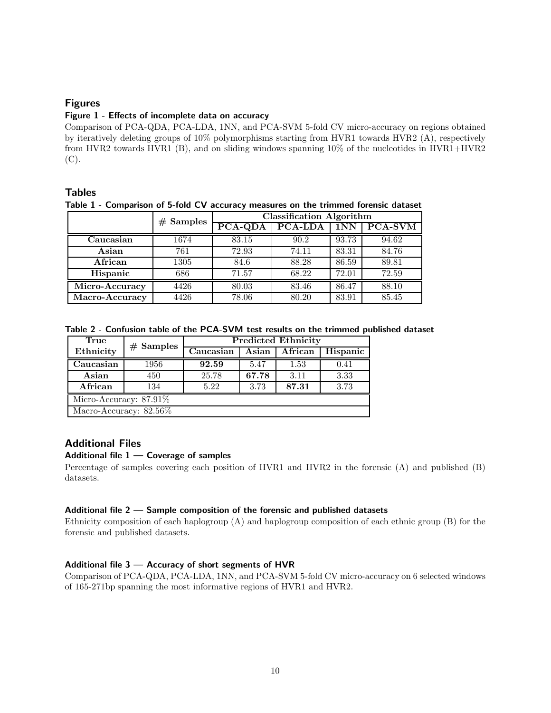# Figures

# Figure 1 - Effects of incomplete data on accuracy

Comparison of PCA-QDA, PCA-LDA, 1NN, and PCA-SVM 5-fold CV micro-accuracy on regions obtained by iteratively deleting groups of 10% polymorphisms starting from HVR1 towards HVR2 (A), respectively from HVR2 towards HVR1 (B), and on sliding windows spanning 10% of the nucleotides in HVR1+HVR2  $(C).$ 

# Tables

# Table 1 - Comparison of 5-fold CV accuracy measures on the trimmed forensic dataset

|                | $#$ Samples | <b>Classification Algorithm</b> |         |       |         |
|----------------|-------------|---------------------------------|---------|-------|---------|
|                |             | $PCA-QDA$                       | PCA-LDA | 1NN   | PCA-SVM |
| Caucasian      | 1674        | 83.15                           | 90.2    | 93.73 | 94.62   |
| Asian          | 761         | 72.93                           | 74.11   | 83.31 | 84.76   |
| African        | 1305        | 84.6                            | 88.28   | 86.59 | 89.81   |
| Hispanic       | 686         | 71.57                           | 68.22   | 72.01 | 72.59   |
| Micro-Accuracy | 4426        | 80.03                           | 83.46   | 86.47 | 88.10   |
| Macro-Accuracy | 4426        | 78.06                           | 80.20   | 83.91 | 85.45   |

| Table 2 - Confusion table of the PCA-SVM test results on the trimmed published dataset |
|----------------------------------------------------------------------------------------|
|----------------------------------------------------------------------------------------|

| True                   | $#$ Samples | <b>Predicted Ethnicity</b> |       |         |          |  |
|------------------------|-------------|----------------------------|-------|---------|----------|--|
| Ethnicity              |             | Caucasian                  | Asian | African | Hispanic |  |
| Caucasian              | 1956        | 92.59                      | 5.47  | 1.53    | 0.41     |  |
| Asian                  | 450         | 25.78                      | 67.78 | 3.11    | 3.33     |  |
| African                | 134         | 5.22                       | 3.73  | 87.31   | 3.73     |  |
| Micro-Accuracy: 87.91% |             |                            |       |         |          |  |
| Macro-Accuracy: 82.56% |             |                            |       |         |          |  |

# Additional Files

# Additional file  $1 -$  Coverage of samples

Percentage of samples covering each position of HVR1 and HVR2 in the forensic (A) and published (B) datasets.

# Additional file  $2-$  Sample composition of the forensic and published datasets

Ethnicity composition of each haplogroup (A) and haplogroup composition of each ethnic group (B) for the forensic and published datasets.

# Additional file 3 — Accuracy of short segments of HVR

Comparison of PCA-QDA, PCA-LDA, 1NN, and PCA-SVM 5-fold CV micro-accuracy on 6 selected windows of 165-271bp spanning the most informative regions of HVR1 and HVR2.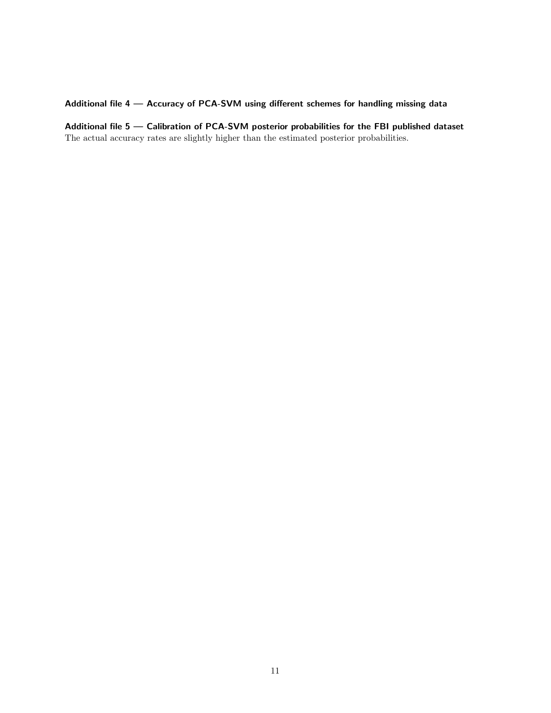Additional file 4 — Accuracy of PCA-SVM using different schemes for handling missing data

Additional file 5 — Calibration of PCA-SVM posterior probabilities for the FBI published dataset The actual accuracy rates are slightly higher than the estimated posterior probabilities.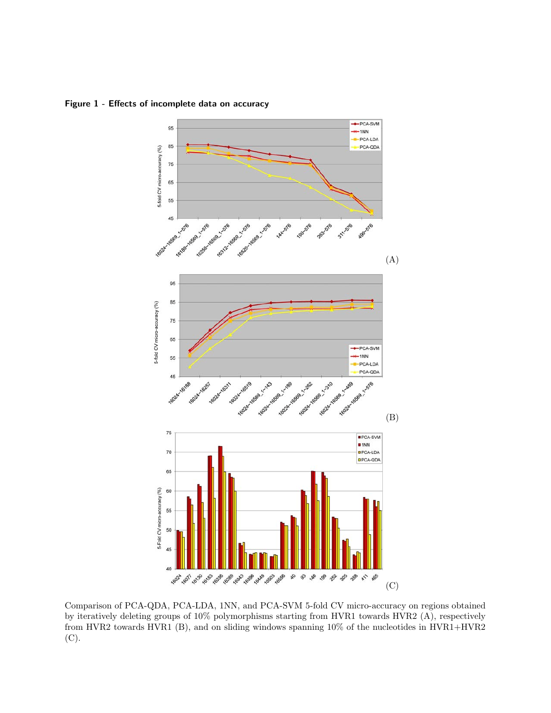

Figure 1 - Effects of incomplete data on accuracy

Comparison of PCA-QDA, PCA-LDA, 1NN, and PCA-SVM 5-fold CV micro-accuracy on regions obtained by iteratively deleting groups of 10% polymorphisms starting from HVR1 towards HVR2 (A), respectively from HVR2 towards HVR1 (B), and on sliding windows spanning 10% of the nucleotides in HVR1+HVR2 (C).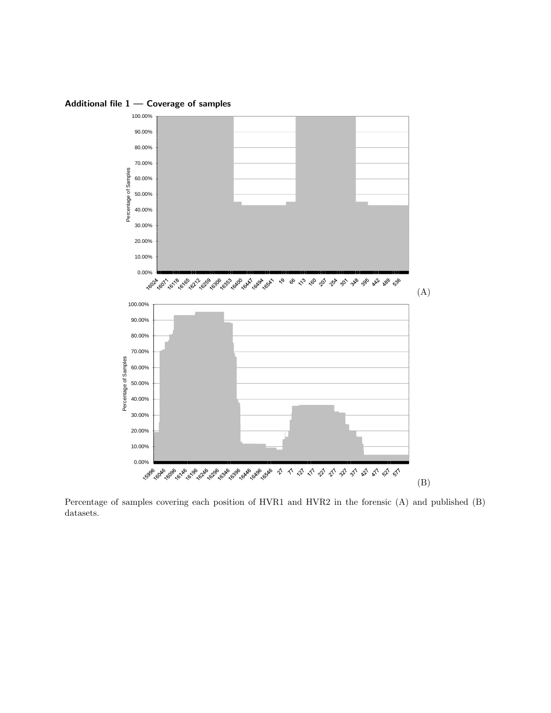Additional file  $1 -$  Coverage of samples



Percentage of samples covering each position of HVR1 and HVR2 in the forensic (A) and published (B) datasets.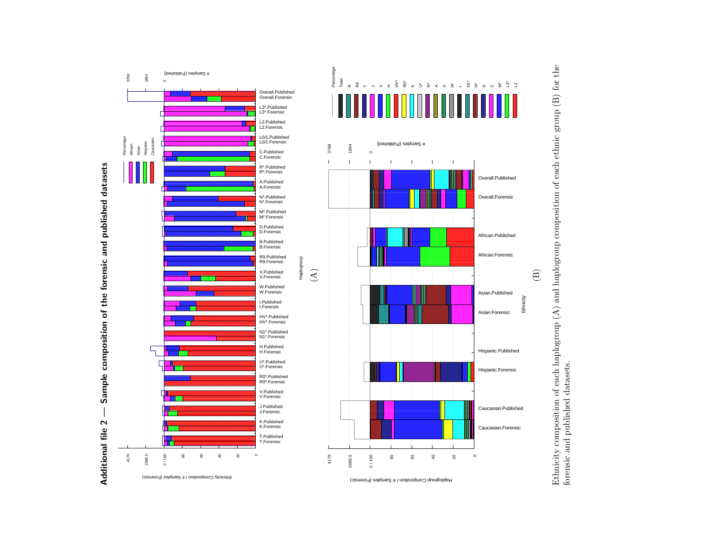



published datasets Additional file 2 — Sample composition of the forensic and published datasets  $and$ Sample composition of the forensic  $\sim$ **Additional file**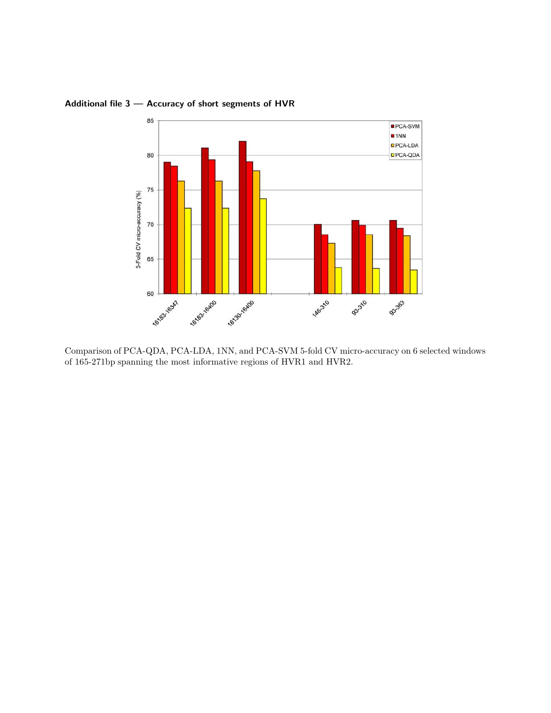

Additional file 3 — Accuracy of short segments of HVR

Comparison of PCA-QDA, PCA-LDA, 1NN, and PCA-SVM 5-fold CV micro-accuracy on 6 selected windows of 165-271bp spanning the most informative regions of HVR1 and HVR2.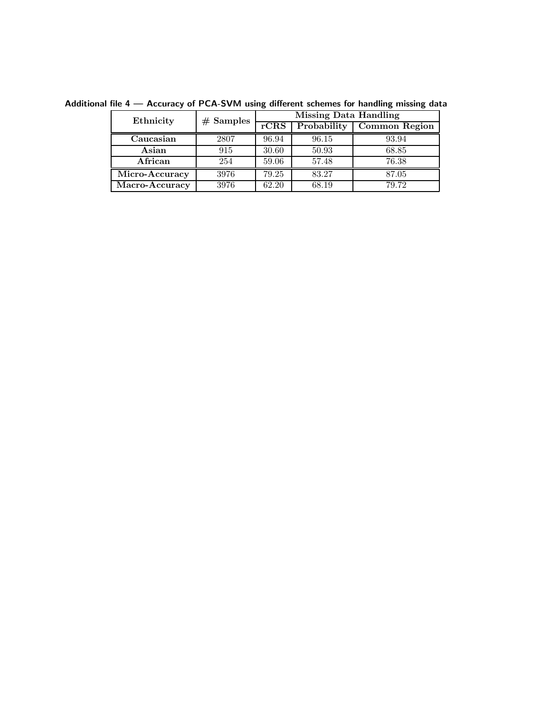| Ethnicity      | $#$ Samples | Missing Data Handling |             |                      |  |
|----------------|-------------|-----------------------|-------------|----------------------|--|
|                |             | rCRS                  | Probability | <b>Common Region</b> |  |
| Caucasian      | 2807        | 96.94                 | 96.15       | 93.94                |  |
| Asian          | 915         | 30.60                 | 50.93       | 68.85                |  |
| African        | 254         | 59.06                 | 57.48       | 76.38                |  |
| Micro-Accuracy | 3976        | 79.25                 | 83.27       | 87.05                |  |
| Macro-Accuracy | 3976        | 62.20                 | 68.19       | 79.72                |  |

Additional file 4 — Accuracy of PCA-SVM using different schemes for handling missing data